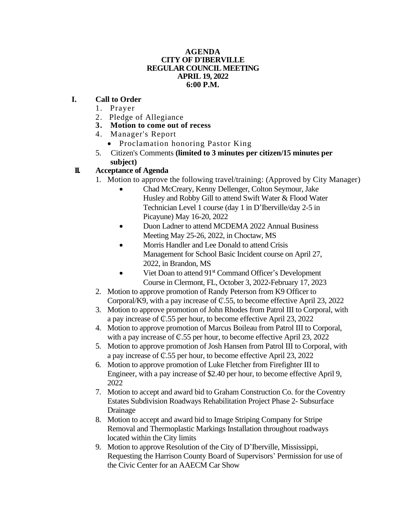#### **AGENDA CITY OF D'IBERVILLE REGULAR COUNCIL MEETING APRIL 19, 2022 6:00 P.M.**

### **I. Call to Order**

- 1. Prayer
- 2. Pledge of Allegiance
- **3. Motion to come out of recess**
- 4. Manager's Report
	- Proclamation honoring Pastor King
- 5. Citizen's Comments **(limited to 3 minutes per citizen/15 minutes per subject)**

# **II. Acceptance of Agenda**

- 1. Motion to approve the following travel/training: (Approved by City Manager)
	- Chad McCreary, Kenny Dellenger, Colton Seymour, Jake Husley and Robby Gill to attend Swift Water & Flood Water Technician Level 1 course (day 1 in D'Iberville/day 2-5 in Picayune) May 16-20, 2022
	- Duon Ladner to attend MCDEMA 2022 Annual Business Meeting May 25-26, 2022, in Choctaw, MS
	- Morris Handler and Lee Donald to attend Crisis Management for School Basic Incident course on April 27, 2022, in Brandon, MS
	- Viet Doan to attend 91<sup>st</sup> Command Officer's Development Course in Clermont, FL, October 3, 2022-February 17, 2023
- 2. Motion to approve promotion of Randy Peterson from K9 Officer to Corporal/K9, with a pay increase of ₵.55, to become effective April 23, 2022
- 3. Motion to approve promotion of John Rhodes from Patrol III to Corporal, with a pay increase of ₵.55 per hour, to become effective April 23, 2022
- 4. Motion to approve promotion of Marcus Boileau from Patrol III to Corporal, with a pay increase of  $\mathbb{C}$ .55 per hour, to become effective April 23, 2022
- 5. Motion to approve promotion of Josh Hansen from Patrol III to Corporal, with a pay increase of ₵.55 per hour, to become effective April 23, 2022
- 6. Motion to approve promotion of Luke Fletcher from Firefighter III to Engineer, with a pay increase of \$2.40 per hour, to become effective April 9, 2022
- 7. Motion to accept and award bid to Graham Construction Co. for the Coventry Estates Subdivision Roadways Rehabilitation Project Phase 2- Subsurface Drainage
- 8. Motion to accept and award bid to Image Striping Company for Stripe Removal and Thermoplastic Markings Installation throughout roadways located within the City limits
- 9. Motion to approve Resolution of the City of D'Iberville, Mississippi, Requesting the Harrison County Board of Supervisors' Permission for use of the Civic Center for an AAECM Car Show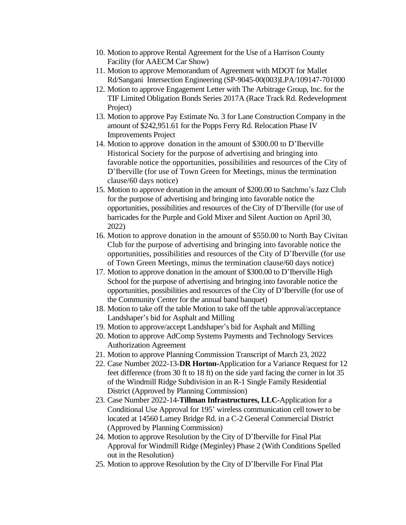- 10. Motion to approve Rental Agreement for the Use of a Harrison County Facility (for AAECM Car Show)
- 11. Motion to approve Memorandum of Agreement with MDOT for Mallet Rd/Sangani Intersection Engineering (SP-9045-00(003)LPA/109147-701000
- 12. Motion to approve Engagement Letter with The Arbitrage Group, Inc. for the TIF Limited Obligation Bonds Series 2017A (Race Track Rd. Redevelopment Project)
- 13. Motion to approve Pay Estimate No. 3 for Lane Construction Company in the amount of \$242,951.61 for the Popps Ferry Rd. Relocation Phase IV Improvements Project
- 14. Motion to approve donation in the amount of \$300.00 to D'Iberville Historical Society for the purpose of advertising and bringing into favorable notice the opportunities, possibilities and resources of the City of D'Iberville (for use of Town Green for Meetings, minus the termination clause/60 days notice)
- 15. Motion to approve donation in the amount of \$200.00 to Satchmo's Jazz Club for the purpose of advertising and bringing into favorable notice the opportunities, possibilities and resources of the City of D'Iberville (for use of barricades for the Purple and Gold Mixer and Silent Auction on April 30, 2022)
- 16. Motion to approve donation in the amount of \$550.00 to North Bay Civitan Club for the purpose of advertising and bringing into favorable notice the opportunities, possibilities and resources of the City of D'Iberville (for use of Town Green Meetings, minus the termination clause/60 days notice)
- 17. Motion to approve donation in the amount of \$300.00 to D'Iberville High School for the purpose of advertising and bringing into favorable notice the opportunities, possibilities and resources of the City of D'Iberville (for use of the Community Center for the annual band banquet)
- 18. Motion to take off the table Motion to take off the table approval/acceptance Landshaper's bid for Asphalt and Milling
- 19. Motion to approve/accept Landshaper's bid for Asphalt and Milling
- 20. Motion to approve AdComp Systems Payments and Technology Services Authorization Agreement
- 21. Motion to approve Planning Commission Transcript of March 23, 2022
- 22. Case Number 2022-13-**DR Horton-**Application for a Variance Request for 12 feet difference (from 30 ft to 18 ft) on the side yard facing the corner in lot 35 of the Windmill Ridge Subdivision in an R-1 Single Family Residential District (Approved by Planning Commission)
- 23. Case Number 2022-14-**Tillman Infrastructures, LLC-**Application for a Conditional Use Approval for 195' wireless communication cell tower to be located at 14560 Lamey Bridge Rd. in a C-2 General Commercial District (Approved by Planning Commission)
- 24. Motion to approve Resolution by the City of D'Iberville for Final Plat Approval for Windmill Ridge (Meginley) Phase 2 (With Conditions Spelled out in the Resolution)
- 25. Motion to approve Resolution by the City of D'Iberville For Final Plat